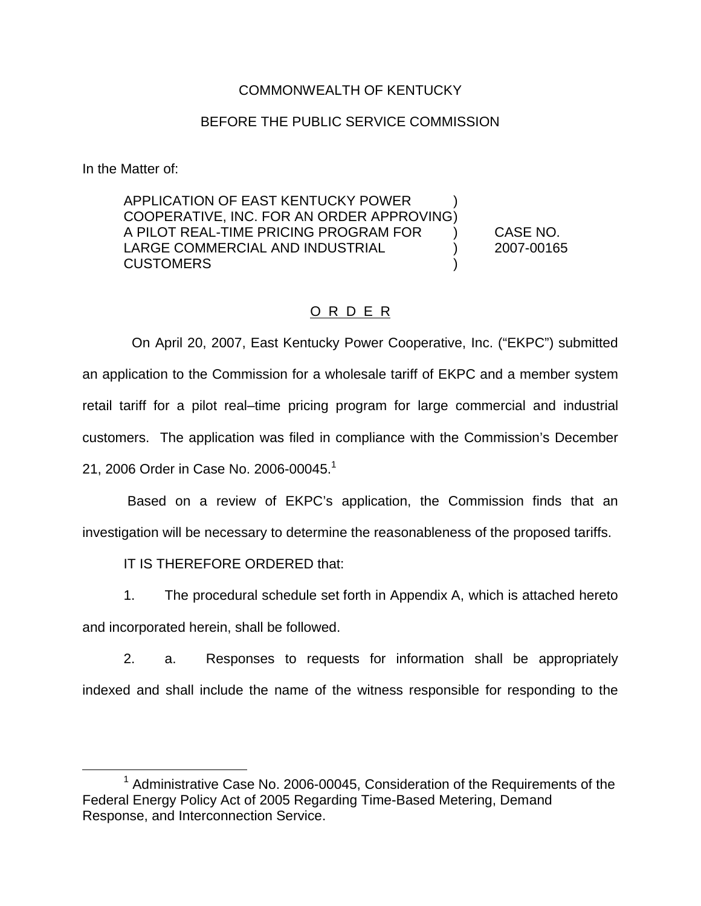### COMMONWEALTH OF KENTUCKY

#### BEFORE THE PUBLIC SERVICE COMMISSION

In the Matter of:

APPLICATION OF EAST KENTUCKY POWER ) COOPERATIVE, INC. FOR AN ORDER APPROVING) A PILOT REAL-TIME PRICING PROGRAM FOR ) CASE NO. LARGE COMMERCIAL AND INDUSTRIAL (2007-00165) **CUSTOMERS** 

### O R D E R

On April 20, 2007, East Kentucky Power Cooperative, Inc. ("EKPC") submitted an application to the Commission for a wholesale tariff of EKPC and a member system retail tariff for a pilot real–time pricing program for large commercial and industrial customers. The application was filed in compliance with the Commission's December 21, 2006 Order in Case No. 2006-00045.<sup>1</sup>

Based on a review of EKPC's application, the Commission finds that an investigation will be necessary to determine the reasonableness of the proposed tariffs.

IT IS THEREFORE ORDERED that:

1. The procedural schedule set forth in Appendix A, which is attached hereto

and incorporated herein, shall be followed.

2. a. Responses to requests for information shall be appropriately indexed and shall include the name of the witness responsible for responding to the

 $1$  Administrative Case No. 2006-00045, Consideration of the Requirements of the Federal Energy Policy Act of 2005 Regarding Time-Based Metering, Demand Response, and Interconnection Service.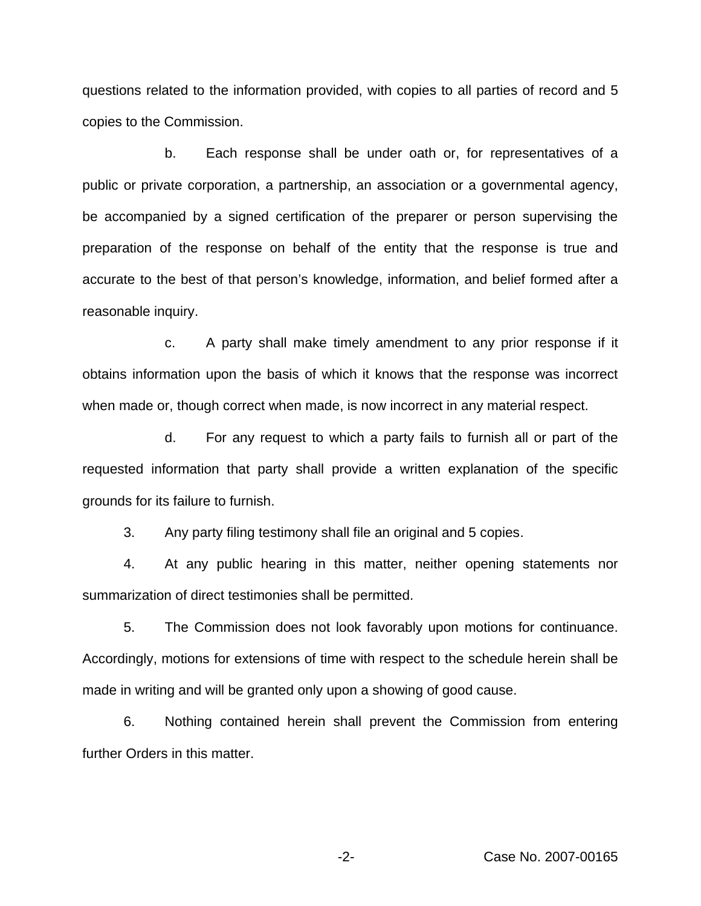questions related to the information provided, with copies to all parties of record and 5 copies to the Commission.

b. Each response shall be under oath or, for representatives of a public or private corporation, a partnership, an association or a governmental agency, be accompanied by a signed certification of the preparer or person supervising the preparation of the response on behalf of the entity that the response is true and accurate to the best of that person's knowledge, information, and belief formed after a reasonable inquiry.

c. A party shall make timely amendment to any prior response if it obtains information upon the basis of which it knows that the response was incorrect when made or, though correct when made, is now incorrect in any material respect.

d. For any request to which a party fails to furnish all or part of the requested information that party shall provide a written explanation of the specific grounds for its failure to furnish.

3. Any party filing testimony shall file an original and 5 copies.

4. At any public hearing in this matter, neither opening statements nor summarization of direct testimonies shall be permitted.

5. The Commission does not look favorably upon motions for continuance. Accordingly, motions for extensions of time with respect to the schedule herein shall be made in writing and will be granted only upon a showing of good cause.

6. Nothing contained herein shall prevent the Commission from entering further Orders in this matter.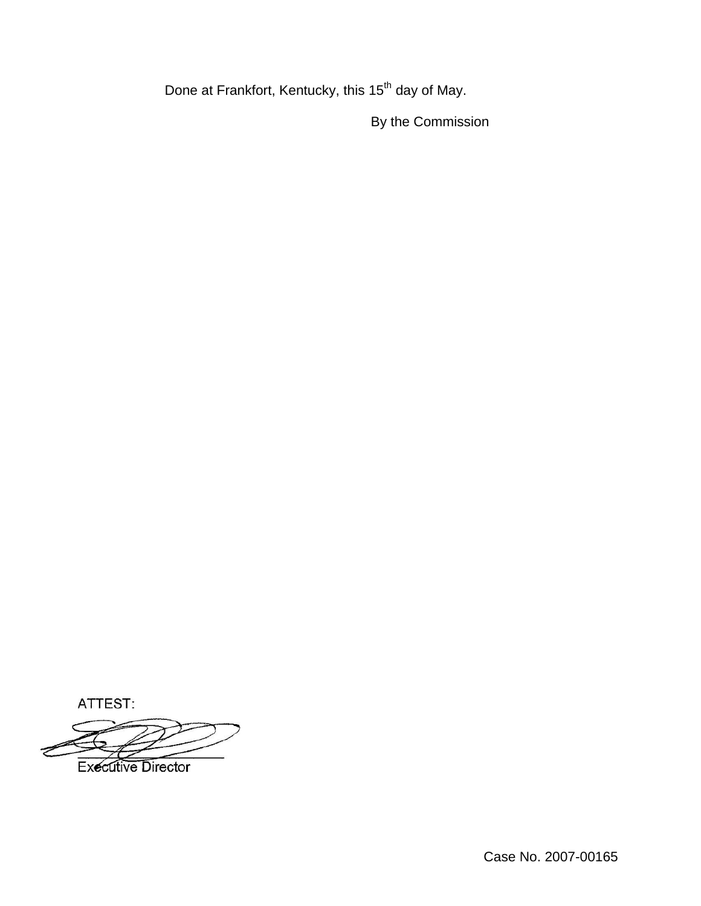Done at Frankfort, Kentucky, this 15<sup>th</sup> day of May.

By the Commission

ATTEST:

**Executive Director**